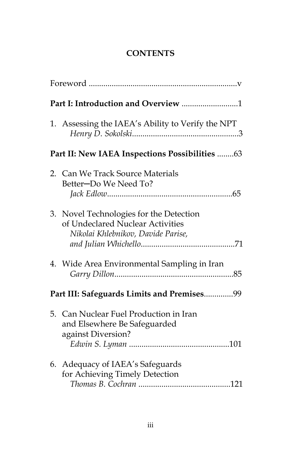## **CONTENTS**

|                                                | 1. Assessing the IAEA's Ability to Verify the NPT                                                                 |  |
|------------------------------------------------|-------------------------------------------------------------------------------------------------------------------|--|
| Part II: New IAEA Inspections Possibilities 63 |                                                                                                                   |  |
|                                                | 2. Can We Track Source Materials<br>Better-Do We Need To?                                                         |  |
|                                                | 3. Novel Technologies for the Detection<br>of Undeclared Nuclear Activities<br>Nikolai Khlebnikov, Davide Parise, |  |
|                                                | 4. Wide Area Environmental Sampling in Iran                                                                       |  |
| Part III: Safeguards Limits and Premises99     |                                                                                                                   |  |
|                                                | 5. Can Nuclear Fuel Production in Iran<br>and Elsewhere Be Safeguarded<br>against Diversion?                      |  |
|                                                | 6. Adequacy of IAEA's Safeguards<br>for Achieving Timely Detection                                                |  |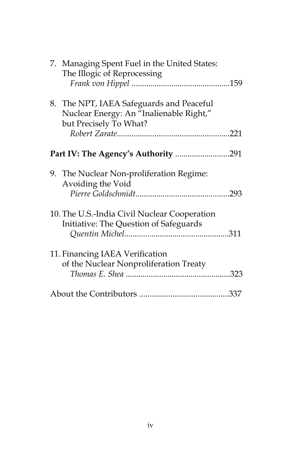| 7. Managing Spent Fuel in the United States:<br>The Illogic of Reprocessing                                   |  |
|---------------------------------------------------------------------------------------------------------------|--|
| 8. The NPT, IAEA Safeguards and Peaceful<br>Nuclear Energy: An "Inalienable Right,"<br>but Precisely To What? |  |
|                                                                                                               |  |
|                                                                                                               |  |
| 9. The Nuclear Non-proliferation Regime:<br>Avoiding the Void                                                 |  |
| 10. The U.S.-India Civil Nuclear Cooperation<br>Initiative: The Question of Safeguards                        |  |
| 11. Financing IAEA Verification<br>of the Nuclear Nonproliferation Treaty                                     |  |
|                                                                                                               |  |